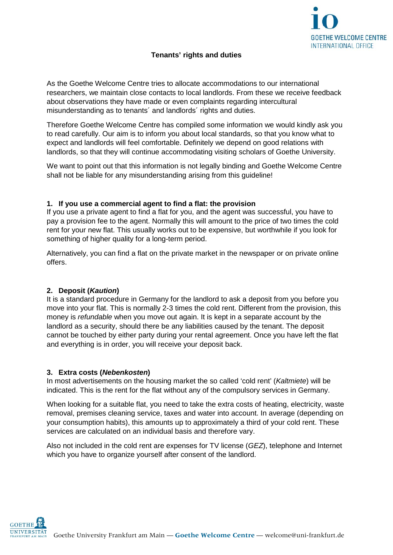

# **Tenants' rights and duties**

As the Goethe Welcome Centre tries to allocate accommodations to our international researchers, we maintain close contacts to local landlords. From these we receive feedback about observations they have made or even complaints regarding intercultural misunderstanding as to tenants´ and landlords´ rights and duties.

Therefore Goethe Welcome Centre has compiled some information we would kindly ask you to read carefully. Our aim is to inform you about local standards, so that you know what to expect and landlords will feel comfortable. Definitely we depend on good relations with landlords, so that they will continue accommodating visiting scholars of Goethe University.

We want to point out that this information is not legally binding and Goethe Welcome Centre shall not be liable for any misunderstanding arising from this guideline!

#### **1. If you use a commercial agent to find a flat: the provision**

If you use a private agent to find a flat for you, and the agent was successful, you have to pay a provision fee to the agent. Normally this will amount to the price of two times the cold rent for your new flat. This usually works out to be expensive, but worthwhile if you look for something of higher quality for a long-term period.

Alternatively, you can find a flat on the private market in the newspaper or on private online offers.

### **2. Deposit (***Kaution***)**

It is a standard procedure in Germany for the landlord to ask a deposit from you before you move into your flat. This is normally 2-3 times the cold rent. Different from the provision, this money is *refundable* when you move out again. It is kept in a separate account by the landlord as a security, should there be any liabilities caused by the tenant. The deposit cannot be touched by either party during your rental agreement. Once you have left the flat and everything is in order, you will receive your deposit back.

### **3. Extra costs (***Nebenkosten***)**

In most advertisements on the housing market the so called 'cold rent' (*Kaltmiete*) will be indicated. This is the rent for the flat without any of the compulsory services in Germany.

When looking for a suitable flat, you need to take the extra costs of heating, electricity, waste removal, premises cleaning service, taxes and water into account. In average (depending on your consumption habits), this amounts up to approximately a third of your cold rent. These services are calculated on an individual basis and therefore vary.

Also not included in the cold rent are expenses for TV license (*GEZ*), telephone and Internet which you have to organize yourself after consent of the landlord.

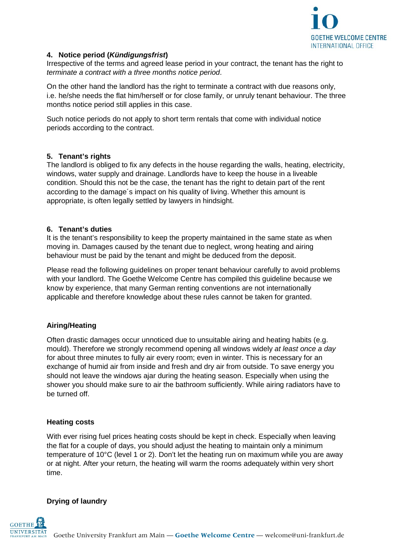

### **4. Notice period (***Kündigungsfrist***)**

Irrespective of the terms and agreed lease period in your contract, the tenant has the right to *terminate a contract with a three months notice period*.

On the other hand the landlord has the right to terminate a contract with due reasons only, i.e. he/she needs the flat him/herself or for close family, or unruly tenant behaviour. The three months notice period still applies in this case.

Such notice periods do not apply to short term rentals that come with individual notice periods according to the contract.

### **5. Tenant's rights**

The landlord is obliged to fix any defects in the house regarding the walls, heating, electricity, windows, water supply and drainage. Landlords have to keep the house in a liveable condition. Should this not be the case, the tenant has the right to detain part of the rent according to the damage´s impact on his quality of living. Whether this amount is appropriate, is often legally settled by lawyers in hindsight.

### **6. Tenant's duties**

It is the tenant's responsibility to keep the property maintained in the same state as when moving in. Damages caused by the tenant due to neglect, wrong heating and airing behaviour must be paid by the tenant and might be deduced from the deposit.

Please read the following guidelines on proper tenant behaviour carefully to avoid problems with your landlord. The Goethe Welcome Centre has compiled this guideline because we know by experience, that many German renting conventions are not internationally applicable and therefore knowledge about these rules cannot be taken for granted.

# **Airing/Heating**

Often drastic damages occur unnoticed due to unsuitable airing and heating habits (e.g. mould). Therefore we strongly recommend opening all windows widely *at least once a day* for about three minutes to fully air every room; even in winter. This is necessary for an exchange of humid air from inside and fresh and dry air from outside. To save energy you should not leave the windows ajar during the heating season. Especially when using the shower you should make sure to air the bathroom sufficiently. While airing radiators have to be turned off.

### **Heating costs**

With ever rising fuel prices heating costs should be kept in check. Especially when leaving the flat for a couple of days, you should adjust the heating to maintain only a minimum temperature of 10°C (level 1 or 2). Don't let the heating run on maximum while you are away or at night. After your return, the heating will warm the rooms adequately within very short time.

# **Drying of laundry**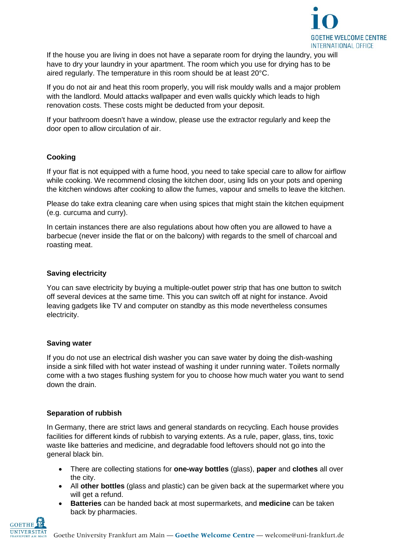

If the house you are living in does not have a separate room for drying the laundry, you will have to dry your laundry in your apartment. The room which you use for drying has to be aired regularly. The temperature in this room should be at least 20°C.

If you do not air and heat this room properly, you will risk mouldy walls and a major problem with the landlord. Mould attacks wallpaper and even walls quickly which leads to high renovation costs. These costs might be deducted from your deposit.

If your bathroom doesn't have a window, please use the extractor regularly and keep the door open to allow circulation of air.

# **Cooking**

If your flat is not equipped with a fume hood, you need to take special care to allow for airflow while cooking. We recommend closing the kitchen door, using lids on your pots and opening the kitchen windows after cooking to allow the fumes, vapour and smells to leave the kitchen.

Please do take extra cleaning care when using spices that might stain the kitchen equipment (e.g. curcuma and curry).

In certain instances there are also regulations about how often you are allowed to have a barbecue (never inside the flat or on the balcony) with regards to the smell of charcoal and roasting meat.

# **Saving electricity**

You can save electricity by buying a multiple-outlet power strip that has one button to switch off several devices at the same time. This you can switch off at night for instance. Avoid leaving gadgets like TV and computer on standby as this mode nevertheless consumes electricity.

# **Saving water**

If you do not use an electrical dish washer you can save water by doing the dish-washing inside a sink filled with hot water instead of washing it under running water. Toilets normally come with a two stages flushing system for you to choose how much water you want to send down the drain.

### **Separation of rubbish**

In Germany, there are strict laws and general standards on recycling. Each house provides facilities for different kinds of rubbish to varying extents. As a rule, paper, glass, tins, toxic waste like batteries and medicine, and degradable food leftovers should not go into the general black bin.

- There are collecting stations for **one-way bottles** (glass), **paper** and **clothes** all over the city.
- All **other bottles** (glass and plastic) can be given back at the supermarket where you will get a refund.
- **Batteries** can be handed back at most supermarkets, and **medicine** can be taken back by pharmacies.

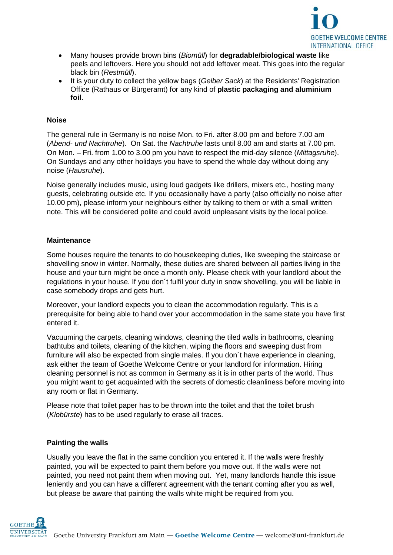

- Many houses provide brown bins (*Biomüll*) for **degradable/biological waste** like peels and leftovers. Here you should not add leftover meat. This goes into the regular black bin (*Restmüll*).
- It is your duty to collect the yellow bags (*Gelber Sack*) at the Residents' Registration Office (Rathaus or Bürgeramt) for any kind of **plastic packaging and aluminium foil**.

### **Noise**

The general rule in Germany is no noise Mon. to Fri. after 8.00 pm and before 7.00 am (*Abend- und Nachtruhe*). On Sat. the *Nachtruhe* lasts until 8.00 am and starts at 7.00 pm. On Mon. – Fri. from 1.00 to 3.00 pm you have to respect the mid-day silence (*Mittagsruhe*). On Sundays and any other holidays you have to spend the whole day without doing any noise (*Hausruhe*).

Noise generally includes music, using loud gadgets like drillers, mixers etc., hosting many guests, celebrating outside etc. If you occasionally have a party (also officially no noise after 10.00 pm), please inform your neighbours either by talking to them or with a small written note. This will be considered polite and could avoid unpleasant visits by the local police.

### **Maintenance**

Some houses require the tenants to do housekeeping duties, like sweeping the staircase or shovelling snow in winter. Normally, these duties are shared between all parties living in the house and your turn might be once a month only. Please check with your landlord about the regulations in your house. If you don´t fulfil your duty in snow shovelling, you will be liable in case somebody drops and gets hurt.

Moreover, your landlord expects you to clean the accommodation regularly. This is a prerequisite for being able to hand over your accommodation in the same state you have first entered it.

Vacuuming the carpets, cleaning windows, cleaning the tiled walls in bathrooms, cleaning bathtubs and toilets, cleaning of the kitchen, wiping the floors and sweeping dust from furniture will also be expected from single males. If you don´t have experience in cleaning, ask either the team of Goethe Welcome Centre or your landlord for information. Hiring cleaning personnel is not as common in Germany as it is in other parts of the world. Thus you might want to get acquainted with the secrets of domestic cleanliness before moving into any room or flat in Germany.

Please note that toilet paper has to be thrown into the toilet and that the toilet brush (*Klobürste*) has to be used regularly to erase all traces.

### **Painting the walls**

Usually you leave the flat in the same condition you entered it. If the walls were freshly painted, you will be expected to paint them before you move out. If the walls were not painted, you need not paint them when moving out. Yet, many landlords handle this issue leniently and you can have a different agreement with the tenant coming after you as well, but please be aware that painting the walls white might be required from you.